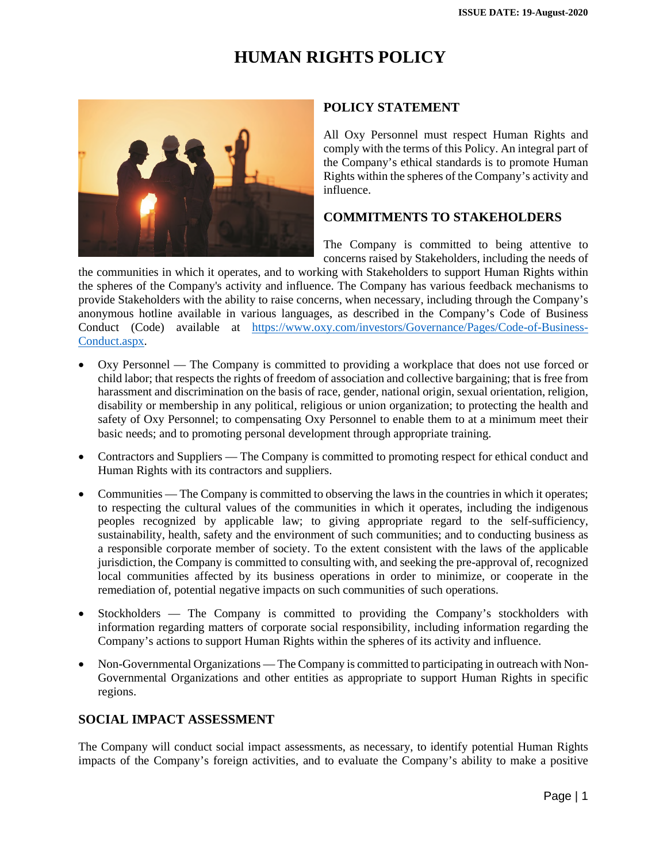## **HUMAN RIGHTS POLICY**



#### **POLICY STATEMENT**

All Oxy Personnel must respect Human Rights and comply with the terms of this Policy. An integral part of the Company's ethical standards is to promote Human Rights within the spheres of the Company's activity and influence.

#### **COMMITMENTS TO STAKEHOLDERS**

The Company is committed to being attentive to concerns raised by Stakeholders, including the needs of

the communities in which it operates, and to working with Stakeholders to support Human Rights within the spheres of the Company's activity and influence. The Company has various feedback mechanisms to provide Stakeholders with the ability to raise concerns, when necessary, including through the Company's anonymous hotline available in various languages, as described in the Company's Code of Business Conduct (Code) available at https://www.oxy.com/investors/Governance/Pages/Code-of-Business-Conduct.aspx.

- Oxy Personnel The Company is committed to providing a workplace that does not use forced or child labor; that respects the rights of freedom of association and collective bargaining; that is free from harassment and discrimination on the basis of race, gender, national origin, sexual orientation, religion, disability or membership in any political, religious or union organization; to protecting the health and safety of Oxy Personnel; to compensating Oxy Personnel to enable them to at a minimum meet their basic needs; and to promoting personal development through appropriate training.
- Contractors and Suppliers The Company is committed to promoting respect for ethical conduct and Human Rights with its contractors and suppliers.
- Communities The Company is committed to observing the laws in the countries in which it operates; to respecting the cultural values of the communities in which it operates, including the indigenous peoples recognized by applicable law; to giving appropriate regard to the self-sufficiency, sustainability, health, safety and the environment of such communities; and to conducting business as a responsible corporate member of society. To the extent consistent with the laws of the applicable jurisdiction, the Company is committed to consulting with, and seeking the pre-approval of, recognized local communities affected by its business operations in order to minimize, or cooperate in the remediation of, potential negative impacts on such communities of such operations.
- Stockholders The Company is committed to providing the Company's stockholders with information regarding matters of corporate social responsibility, including information regarding the Company's actions to support Human Rights within the spheres of its activity and influence.
- Non-Governmental Organizations The Company is committed to participating in outreach with Non-Governmental Organizations and other entities as appropriate to support Human Rights in specific regions.

#### **SOCIAL IMPACT ASSESSMENT**

The Company will conduct social impact assessments, as necessary, to identify potential Human Rights impacts of the Company's foreign activities, and to evaluate the Company's ability to make a positive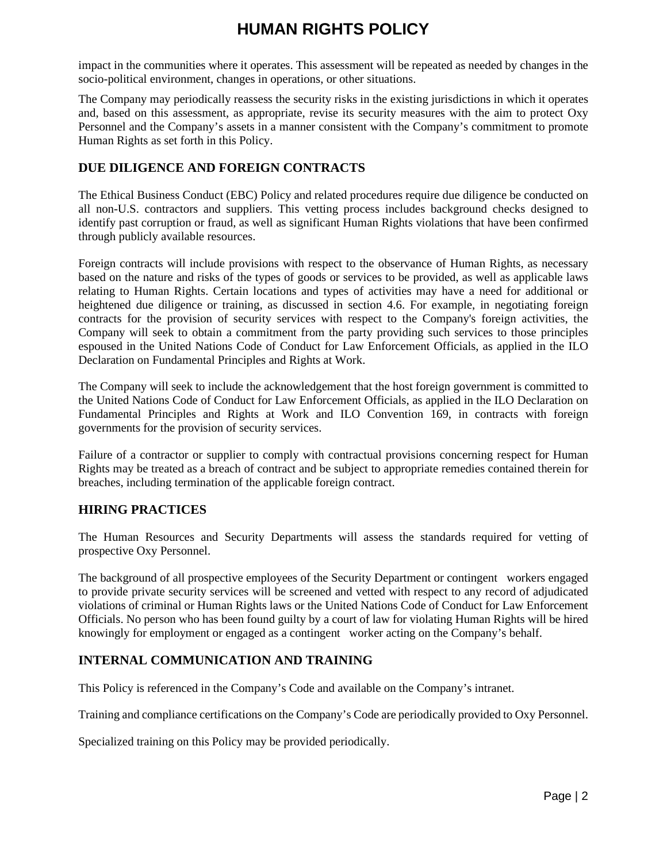# **HUMAN RIGHTS POLICY**

impact in the communities where it operates. This assessment will be repeated as needed by changes in the socio-political environment, changes in operations, or other situations.

The Company may periodically reassess the security risks in the existing jurisdictions in which it operates and, based on this assessment, as appropriate, revise its security measures with the aim to protect Oxy Personnel and the Company's assets in a manner consistent with the Company's commitment to promote Human Rights as set forth in this Policy.

### **DUE DILIGENCE AND FOREIGN CONTRACTS**

The Ethical Business Conduct (EBC) Policy and related procedures require due diligence be conducted on all non-U.S. contractors and suppliers. This vetting process includes background checks designed to identify past corruption or fraud, as well as significant Human Rights violations that have been confirmed through publicly available resources.

Foreign contracts will include provisions with respect to the observance of Human Rights, as necessary based on the nature and risks of the types of goods or services to be provided, as well as applicable laws relating to Human Rights. Certain locations and types of activities may have a need for additional or heightened due diligence or training, as discussed in section 4.6. For example, in negotiating foreign contracts for the provision of security services with respect to the Company's foreign activities, the Company will seek to obtain a commitment from the party providing such services to those principles espoused in the United Nations Code of Conduct for Law Enforcement Officials, as applied in the ILO Declaration on Fundamental Principles and Rights at Work.

The Company will seek to include the acknowledgement that the host foreign government is committed to the United Nations Code of Conduct for Law Enforcement Officials, as applied in the ILO Declaration on Fundamental Principles and Rights at Work and ILO Convention 169, in contracts with foreign governments for the provision of security services.

Failure of a contractor or supplier to comply with contractual provisions concerning respect for Human Rights may be treated as a breach of contract and be subject to appropriate remedies contained therein for breaches, including termination of the applicable foreign contract.

#### **HIRING PRACTICES**

The Human Resources and Security Departments will assess the standards required for vetting of prospective Oxy Personnel.

The background of all prospective employees of the Security Department or contingent workers engaged to provide private security services will be screened and vetted with respect to any record of adjudicated violations of criminal or Human Rights laws or the United Nations Code of Conduct for Law Enforcement Officials. No person who has been found guilty by a court of law for violating Human Rights will be hired knowingly for employment or engaged as a contingent worker acting on the Company's behalf.

### **INTERNAL COMMUNICATION AND TRAINING**

This Policy is referenced in the Company's Code and available on the Company's intranet.

Training and compliance certifications on the Company's Code are periodically provided to Oxy Personnel.

Specialized training on this Policy may be provided periodically.